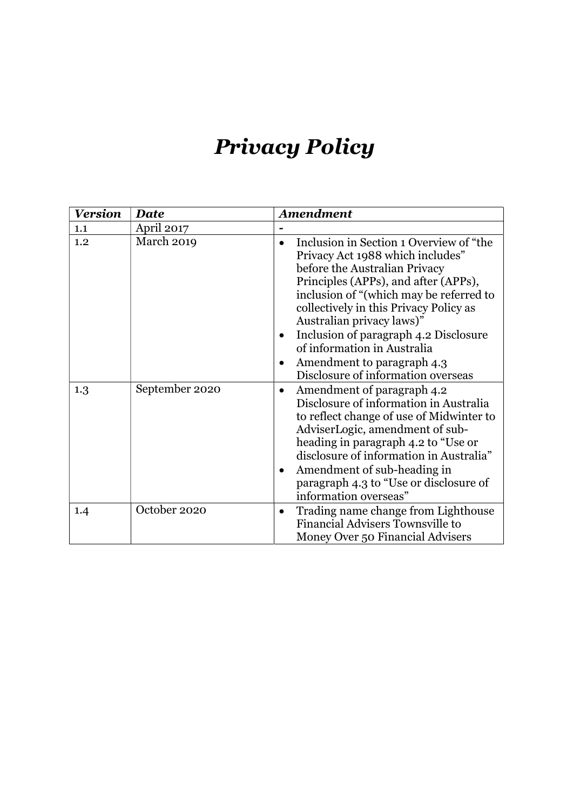# Privacy Policy

| <b>Version</b> | <b>Date</b>    | Amendment                                                                                                                                                                                                                                                                                                                                                                                                                                    |
|----------------|----------------|----------------------------------------------------------------------------------------------------------------------------------------------------------------------------------------------------------------------------------------------------------------------------------------------------------------------------------------------------------------------------------------------------------------------------------------------|
| 1.1            | April 2017     |                                                                                                                                                                                                                                                                                                                                                                                                                                              |
| 1.2            | March 2019     | Inclusion in Section 1 Overview of "the<br>Privacy Act 1988 which includes"<br>before the Australian Privacy<br>Principles (APPs), and after (APPs),<br>inclusion of "(which may be referred to<br>collectively in this Privacy Policy as<br>Australian privacy laws)"<br>Inclusion of paragraph 4.2 Disclosure<br>$\bullet$<br>of information in Australia<br>Amendment to paragraph 4.3<br>$\bullet$<br>Disclosure of information overseas |
| 1.3            | September 2020 | Amendment of paragraph 4.2<br>$\bullet$<br>Disclosure of information in Australia<br>to reflect change of use of Midwinter to<br>AdviserLogic, amendment of sub-<br>heading in paragraph 4.2 to "Use or<br>disclosure of information in Australia"<br>Amendment of sub-heading in<br>$\bullet$<br>paragraph 4.3 to "Use or disclosure of<br>information overseas"                                                                            |
| 1.4            | October 2020   | Trading name change from Lighthouse<br>$\bullet$<br>Financial Advisers Townsville to<br>Money Over 50 Financial Advisers                                                                                                                                                                                                                                                                                                                     |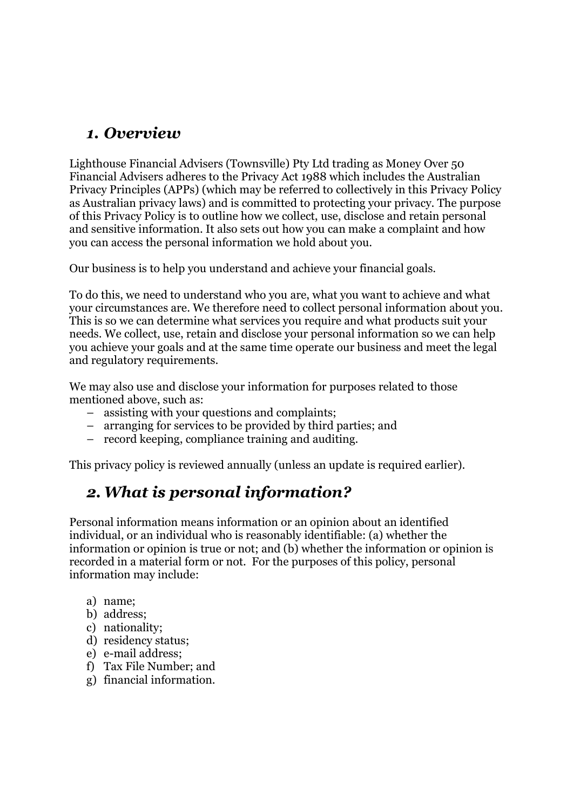### 1. Overview

Lighthouse Financial Advisers (Townsville) Pty Ltd trading as Money Over 50 Financial Advisers adheres to the Privacy Act 1988 which includes the Australian Privacy Principles (APPs) (which may be referred to collectively in this Privacy Policy as Australian privacy laws) and is committed to protecting your privacy. The purpose of this Privacy Policy is to outline how we collect, use, disclose and retain personal and sensitive information. It also sets out how you can make a complaint and how you can access the personal information we hold about you.

Our business is to help you understand and achieve your financial goals.

To do this, we need to understand who you are, what you want to achieve and what your circumstances are. We therefore need to collect personal information about you. This is so we can determine what services you require and what products suit your needs. We collect, use, retain and disclose your personal information so we can help you achieve your goals and at the same time operate our business and meet the legal and regulatory requirements.

We may also use and disclose your information for purposes related to those mentioned above, such as:

- assisting with your questions and complaints;
- arranging for services to be provided by third parties; and
- record keeping, compliance training and auditing.

This privacy policy is reviewed annually (unless an update is required earlier).

### 2.What is personal information?

Personal information means information or an opinion about an identified individual, or an individual who is reasonably identifiable: (a) whether the information or opinion is true or not; and (b) whether the information or opinion is recorded in a material form or not. For the purposes of this policy, personal information may include:

- a) name;
- b) address;
- c) nationality;
- d) residency status;
- e) e-mail address;
- f) Tax File Number; and
- g) financial information.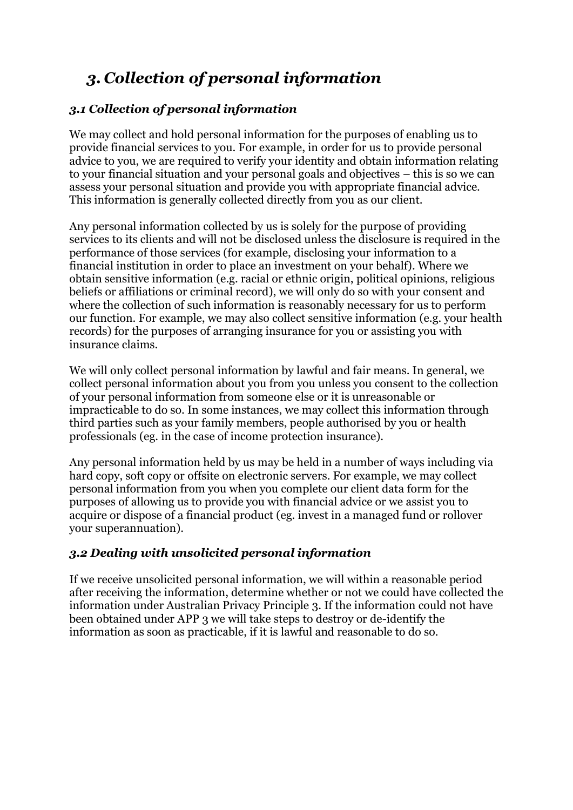# 3. Collection of personal information

#### 3.1 Collection of personal information

We may collect and hold personal information for the purposes of enabling us to provide financial services to you. For example, in order for us to provide personal advice to you, we are required to verify your identity and obtain information relating to your financial situation and your personal goals and objectives – this is so we can assess your personal situation and provide you with appropriate financial advice. This information is generally collected directly from you as our client.

Any personal information collected by us is solely for the purpose of providing services to its clients and will not be disclosed unless the disclosure is required in the performance of those services (for example, disclosing your information to a financial institution in order to place an investment on your behalf). Where we obtain sensitive information (e.g. racial or ethnic origin, political opinions, religious beliefs or affiliations or criminal record), we will only do so with your consent and where the collection of such information is reasonably necessary for us to perform our function. For example, we may also collect sensitive information (e.g. your health records) for the purposes of arranging insurance for you or assisting you with insurance claims.

We will only collect personal information by lawful and fair means. In general, we collect personal information about you from you unless you consent to the collection of your personal information from someone else or it is unreasonable or impracticable to do so. In some instances, we may collect this information through third parties such as your family members, people authorised by you or health professionals (eg. in the case of income protection insurance).

Any personal information held by us may be held in a number of ways including via hard copy, soft copy or offsite on electronic servers. For example, we may collect personal information from you when you complete our client data form for the purposes of allowing us to provide you with financial advice or we assist you to acquire or dispose of a financial product (eg. invest in a managed fund or rollover your superannuation).

#### 3.2 Dealing with unsolicited personal information

If we receive unsolicited personal information, we will within a reasonable period after receiving the information, determine whether or not we could have collected the information under Australian Privacy Principle 3. If the information could not have been obtained under APP 3 we will take steps to destroy or de-identify the information as soon as practicable, if it is lawful and reasonable to do so.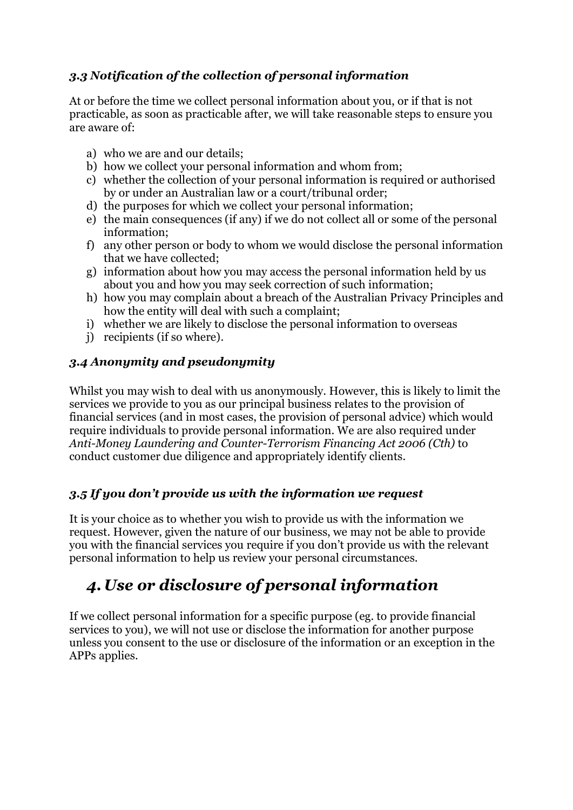#### 3.3 Notification of the collection of personal information

At or before the time we collect personal information about you, or if that is not practicable, as soon as practicable after, we will take reasonable steps to ensure you are aware of:

- a) who we are and our details;
- b) how we collect your personal information and whom from;
- c) whether the collection of your personal information is required or authorised by or under an Australian law or a court/tribunal order;
- d) the purposes for which we collect your personal information;
- e) the main consequences (if any) if we do not collect all or some of the personal information;
- f) any other person or body to whom we would disclose the personal information that we have collected;
- g) information about how you may access the personal information held by us about you and how you may seek correction of such information;
- h) how you may complain about a breach of the Australian Privacy Principles and how the entity will deal with such a complaint;
- i) whether we are likely to disclose the personal information to overseas
- j) recipients (if so where).

#### 3.4 Anonymity and pseudonymity

Whilst you may wish to deal with us anonymously. However, this is likely to limit the services we provide to you as our principal business relates to the provision of financial services (and in most cases, the provision of personal advice) which would require individuals to provide personal information. We are also required under Anti-Money Laundering and Counter-Terrorism Financing Act 2006 (Cth) to conduct customer due diligence and appropriately identify clients.

#### 3.5 If you don't provide us with the information we request

It is your choice as to whether you wish to provide us with the information we request. However, given the nature of our business, we may not be able to provide you with the financial services you require if you don't provide us with the relevant personal information to help us review your personal circumstances.

# 4. Use or disclosure of personal information

If we collect personal information for a specific purpose (eg. to provide financial services to you), we will not use or disclose the information for another purpose unless you consent to the use or disclosure of the information or an exception in the APPs applies.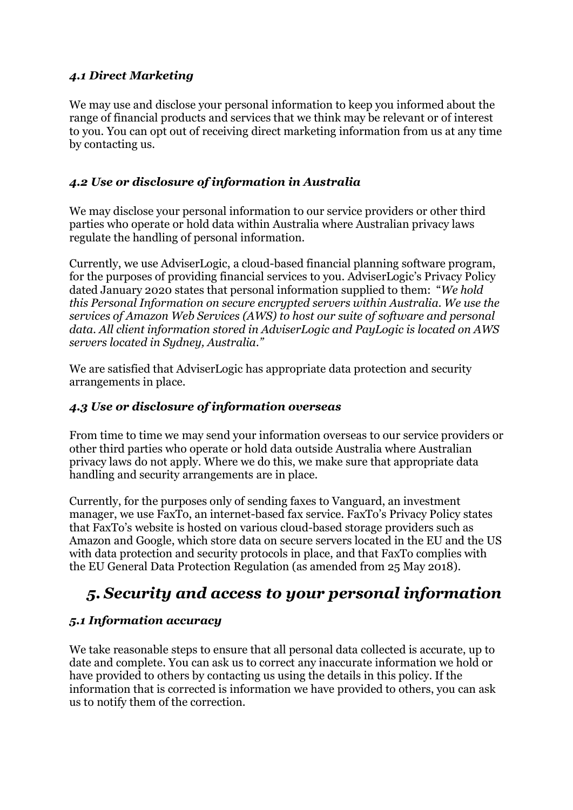#### 4.1 Direct Marketing

We may use and disclose your personal information to keep you informed about the range of financial products and services that we think may be relevant or of interest to you. You can opt out of receiving direct marketing information from us at any time by contacting us.

#### 4.2 Use or disclosure of information in Australia

We may disclose your personal information to our service providers or other third parties who operate or hold data within Australia where Australian privacy laws regulate the handling of personal information.

Currently, we use AdviserLogic, a cloud-based financial planning software program, for the purposes of providing financial services to you. AdviserLogic's Privacy Policy dated January 2020 states that personal information supplied to them: "We hold this Personal Information on secure encrypted servers within Australia. We use the services of Amazon Web Services (AWS) to host our suite of software and personal data. All client information stored in AdviserLogic and PayLogic is located on AWS servers located in Sydney, Australia."

We are satisfied that AdviserLogic has appropriate data protection and security arrangements in place.

#### 4.3 Use or disclosure of information overseas

From time to time we may send your information overseas to our service providers or other third parties who operate or hold data outside Australia where Australian privacy laws do not apply. Where we do this, we make sure that appropriate data handling and security arrangements are in place.

Currently, for the purposes only of sending faxes to Vanguard, an investment manager, we use FaxTo, an internet-based fax service. FaxTo's Privacy Policy states that FaxTo's website is hosted on various cloud-based storage providers such as Amazon and Google, which store data on secure servers located in the EU and the US with data protection and security protocols in place, and that FaxTo complies with the EU General Data Protection Regulation (as amended from 25 May 2018).

# 5. Security and access to your personal information

#### 5.1 Information accuracy

We take reasonable steps to ensure that all personal data collected is accurate, up to date and complete. You can ask us to correct any inaccurate information we hold or have provided to others by contacting us using the details in this policy. If the information that is corrected is information we have provided to others, you can ask us to notify them of the correction.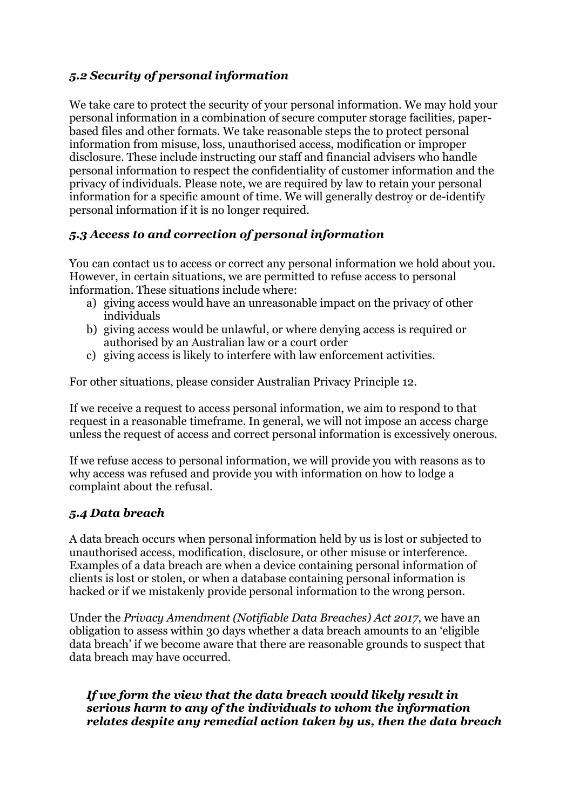#### 5.2 Security of personal information

We take care to protect the security of your personal information. We may hold your personal information in a combination of secure computer storage facilities, paperbased files and other formats. We take reasonable steps the to protect personal information from misuse, loss, unauthorised access, modification or improper disclosure. These include instructing our staff and financial advisers who handle personal information to respect the confidentiality of customer information and the privacy of individuals. Please note, we are required by law to retain your personal information for a specific amount of time. We will generally destroy or de-identify personal information if it is no longer required.

#### 5.3 Access to and correction of personal information

You can contact us to access or correct any personal information we hold about you. However, in certain situations, we are permitted to refuse access to personal information. These situations include where:

- a) giving access would have an unreasonable impact on the privacy of other individuals
- b) giving access would be unlawful, or where denying access is required or authorised by an Australian law or a court order
- c) giving access is likely to interfere with law enforcement activities.

For other situations, please consider Australian Privacy Principle 12.

If we receive a request to access personal information, we aim to respond to that request in a reasonable timeframe. In general, we will not impose an access charge unless the request of access and correct personal information is excessively onerous.

If we refuse access to personal information, we will provide you with reasons as to why access was refused and provide you with information on how to lodge a complaint about the refusal.

#### 5.4 Data breach

A data breach occurs when personal information held by us is lost or subjected to unauthorised access, modification, disclosure, or other misuse or interference. Examples of a data breach are when a device containing personal information of clients is lost or stolen, or when a database containing personal information is hacked or if we mistakenly provide personal information to the wrong person.

Under the Privacy Amendment (Notifiable Data Breaches) Act 2017, we have an obligation to assess within 30 days whether a data breach amounts to an 'eligible data breach' if we become aware that there are reasonable grounds to suspect that data breach may have occurred.

#### If we form the view that the data breach would likely result in serious harm to any of the individuals to whom the information relates despite any remedial action taken by us, then the data breach